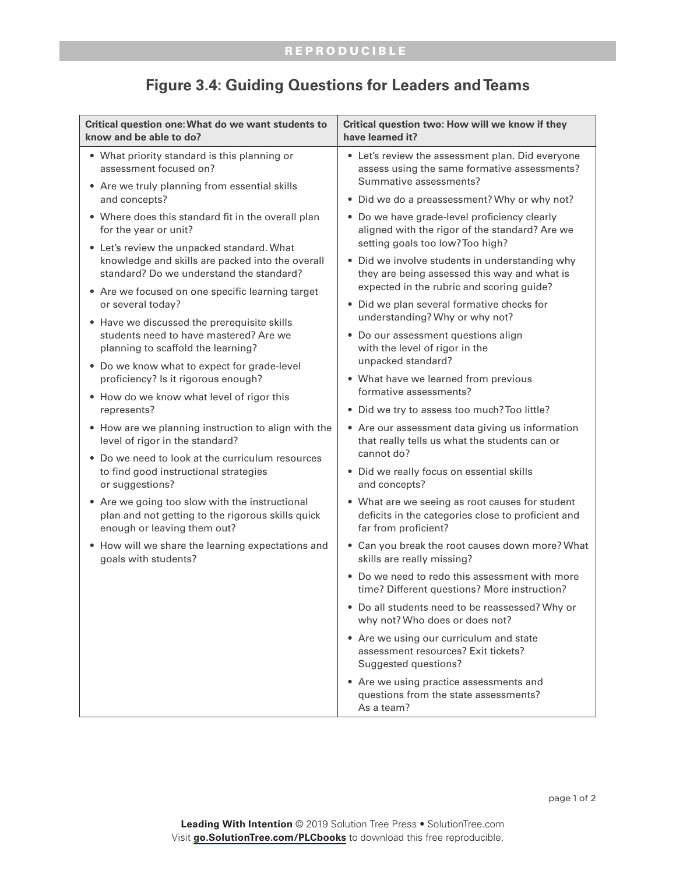| Critical question one: What do we want students to<br>know and be able to do?                                                              | Critical question two: How will we know if they<br>have learned it?                                                                                                                                                                                                                                                                                                                                                                                                                                                                |
|--------------------------------------------------------------------------------------------------------------------------------------------|------------------------------------------------------------------------------------------------------------------------------------------------------------------------------------------------------------------------------------------------------------------------------------------------------------------------------------------------------------------------------------------------------------------------------------------------------------------------------------------------------------------------------------|
| • What priority standard is this planning or<br>assessment focused on?                                                                     | • Let's review the assessment plan. Did everyone<br>assess using the same formative assessments?<br>Summative assessments?                                                                                                                                                                                                                                                                                                                                                                                                         |
| • Are we truly planning from essential skills<br>and concepts?                                                                             | • Did we do a preassessment? Why or why not?                                                                                                                                                                                                                                                                                                                                                                                                                                                                                       |
| • Where does this standard fit in the overall plan<br>for the year or unit?                                                                | • Do we have grade-level proficiency clearly<br>aligned with the rigor of the standard? Are we<br>setting goals too low? Too high?<br>• Did we involve students in understanding why<br>they are being assessed this way and what is<br>expected in the rubric and scoring guide?<br>• Did we plan several formative checks for<br>understanding? Why or why not?<br>• Do our assessment questions align<br>with the level of rigor in the<br>unpacked standard?<br>• What have we learned from previous<br>formative assessments? |
| • Let's review the unpacked standard. What<br>knowledge and skills are packed into the overall<br>standard? Do we understand the standard? |                                                                                                                                                                                                                                                                                                                                                                                                                                                                                                                                    |
| • Are we focused on one specific learning target                                                                                           |                                                                                                                                                                                                                                                                                                                                                                                                                                                                                                                                    |
| or several today?                                                                                                                          |                                                                                                                                                                                                                                                                                                                                                                                                                                                                                                                                    |
| • Have we discussed the prerequisite skills<br>students need to have mastered? Are we<br>planning to scaffold the learning?                |                                                                                                                                                                                                                                                                                                                                                                                                                                                                                                                                    |
| • Do we know what to expect for grade-level<br>proficiency? Is it rigorous enough?                                                         |                                                                                                                                                                                                                                                                                                                                                                                                                                                                                                                                    |
| • How do we know what level of rigor this                                                                                                  |                                                                                                                                                                                                                                                                                                                                                                                                                                                                                                                                    |
| represents?                                                                                                                                | • Did we try to assess too much? Too little?                                                                                                                                                                                                                                                                                                                                                                                                                                                                                       |
| • How are we planning instruction to align with the<br>level of rigor in the standard?                                                     | • Are our assessment data giving us information<br>that really tells us what the students can or<br>cannot do?                                                                                                                                                                                                                                                                                                                                                                                                                     |
| • Do we need to look at the curriculum resources<br>to find good instructional strategies<br>or suggestions?                               | • Did we really focus on essential skills<br>and concepts?                                                                                                                                                                                                                                                                                                                                                                                                                                                                         |
| • Are we going too slow with the instructional<br>plan and not getting to the rigorous skills quick<br>enough or leaving them out?         | • What are we seeing as root causes for student<br>deficits in the categories close to proficient and<br>far from proficient?                                                                                                                                                                                                                                                                                                                                                                                                      |
| • How will we share the learning expectations and<br>goals with students?                                                                  | • Can you break the root causes down more? What<br>skills are really missing?                                                                                                                                                                                                                                                                                                                                                                                                                                                      |
|                                                                                                                                            | • Do we need to redo this assessment with more<br>time? Different questions? More instruction?                                                                                                                                                                                                                                                                                                                                                                                                                                     |
|                                                                                                                                            | • Do all students need to be reassessed? Why or<br>why not? Who does or does not?                                                                                                                                                                                                                                                                                                                                                                                                                                                  |
|                                                                                                                                            | • Are we using our curriculum and state<br>assessment resources? Exit tickets?<br>Suggested questions?                                                                                                                                                                                                                                                                                                                                                                                                                             |
|                                                                                                                                            | • Are we using practice assessments and<br>questions from the state assessments?<br>As a team?                                                                                                                                                                                                                                                                                                                                                                                                                                     |

## **Figure 3.4: Guiding Questions for Leaders and Teams**